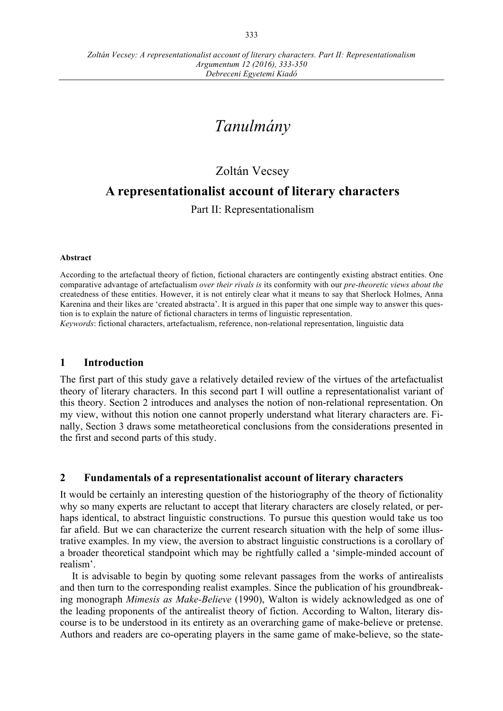# *Tanulmány*

# Zoltán Vecsey

# **A representationalist account of literary characters**

Part II: Representationalism

#### **Abstract**

According to the artefactual theory of fiction, fictional characters are contingently existing abstract entities. One comparative advantage of artefactualism *over their rivals is* its conformity with our *pre-theoretic views about the*  createdness of these entities. However, it is not entirely clear what it means to say that Sherlock Holmes, Anna Karenina and their likes are ʻcreated abstracta'. It is argued in this paper that one simple way to answer this question is to explain the nature of fictional characters in terms of linguistic representation.

*Keywords*: fictional characters, artefactualism, reference, non-relational representation, linguistic data

### **1 Introduction**

The first part of this study gave a relatively detailed review of the virtues of the artefactualist theory of literary characters. In this second part I will outline a representationalist variant of this theory. Section 2 introduces and analyses the notion of non-relational representation. On my view, without this notion one cannot properly understand what literary characters are. Finally, Section 3 draws some metatheoretical conclusions from the considerations presented in the first and second parts of this study.

# **2 Fundamentals of a representationalist account of literary characters**

It would be certainly an interesting question of the historiography of the theory of fictionality why so many experts are reluctant to accept that literary characters are closely related, or perhaps identical, to abstract linguistic constructions. To pursue this question would take us too far afield. But we can characterize the current research situation with the help of some illustrative examples. In my view, the aversion to abstract linguistic constructions is a corollary of a broader theoretical standpoint which may be rightfully called a ʻsimple-minded account of realism'.

It is advisable to begin by quoting some relevant passages from the works of antirealists and then turn to the corresponding realist examples. Since the publication of his groundbreaking monograph *Mimesis as Make-Believe* (1990), Walton is widely acknowledged as one of the leading proponents of the antirealist theory of fiction. According to Walton, literary discourse is to be understood in its entirety as an overarching game of make-believe or pretense. Authors and readers are co-operating players in the same game of make-believe, so the state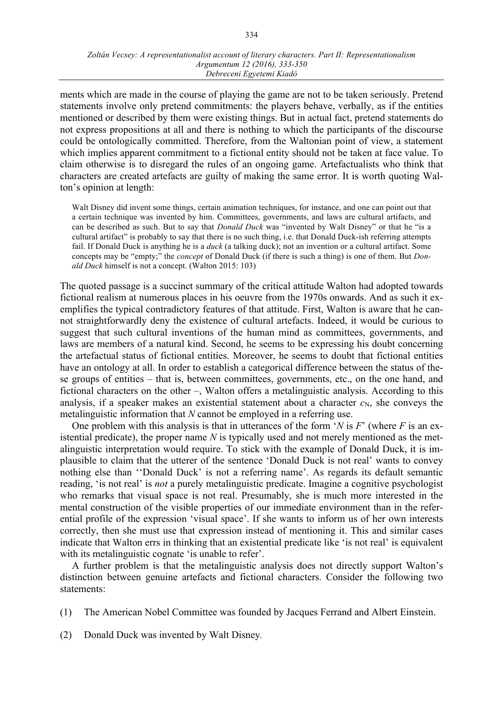ments which are made in the course of playing the game are not to be taken seriously. Pretend statements involve only pretend commitments: the players behave, verbally, as if the entities mentioned or described by them were existing things. But in actual fact, pretend statements do not express propositions at all and there is nothing to which the participants of the discourse could be ontologically committed. Therefore, from the Waltonian point of view, a statement which implies apparent commitment to a fictional entity should not be taken at face value. To claim otherwise is to disregard the rules of an ongoing game. Artefactualists who think that characters are created artefacts are guilty of making the same error. It is worth quoting Walton's opinion at length:

Walt Disney did invent some things, certain animation techniques, for instance, and one can point out that a certain technique was invented by him. Committees, governments, and laws are cultural artifacts, and can be described as such. But to say that *Donald Duck* was "invented by Walt Disney" or that he "is a cultural artifact" is probably to say that there is no such thing, i.e. that Donald Duck-ish referring attempts fail. If Donald Duck is anything he is a *duck* (a talking duck); not an invention or a cultural artifact. Some concepts may be "empty;" the *concept* of Donald Duck (if there is such a thing) is one of them. But *Donald Duck* himself is not a concept. (Walton 2015: 103)

The quoted passage is a succinct summary of the critical attitude Walton had adopted towards fictional realism at numerous places in his oeuvre from the 1970s onwards. And as such it exemplifies the typical contradictory features of that attitude. First, Walton is aware that he cannot straightforwardly deny the existence of cultural artefacts. Indeed, it would be curious to suggest that such cultural inventions of the human mind as committees, governments, and laws are members of a natural kind. Second, he seems to be expressing his doubt concerning the artefactual status of fictional entities. Moreover, he seems to doubt that fictional entities have an ontology at all. In order to establish a categorical difference between the status of these groups of entities – that is, between committees, governments, etc., on the one hand, and fictional characters on the other –, Walton offers a metalinguistic analysis. According to this analysis, if a speaker makes an existential statement about a character  $c_N$ , she conveys the metalinguistic information that *N* cannot be employed in a referring use.

One problem with this analysis is that in utterances of the form ʻ*N* is *F*' (where *F* is an existential predicate), the proper name *N* is typically used and not merely mentioned as the metalinguistic interpretation would require. To stick with the example of Donald Duck, it is implausible to claim that the utterer of the sentence ʻDonald Duck is not real' wants to convey nothing else than ʻʻDonald Duck' is not a referring name'. As regards its default semantic reading, ʻis not real' is *not* a purely metalinguistic predicate. Imagine a cognitive psychologist who remarks that visual space is not real. Presumably, she is much more interested in the mental construction of the visible properties of our immediate environment than in the referential profile of the expression ʻvisual space'. If she wants to inform us of her own interests correctly, then she must use that expression instead of mentioning it. This and similar cases indicate that Walton errs in thinking that an existential predicate like ʻis not real' is equivalent with its metalinguistic cognate 'is unable to refer'.

A further problem is that the metalinguistic analysis does not directly support Walton's distinction between genuine artefacts and fictional characters. Consider the following two statements:

- (1) The American Nobel Committee was founded by Jacques Ferrand and Albert Einstein.
- (2) Donald Duck was invented by Walt Disney*.*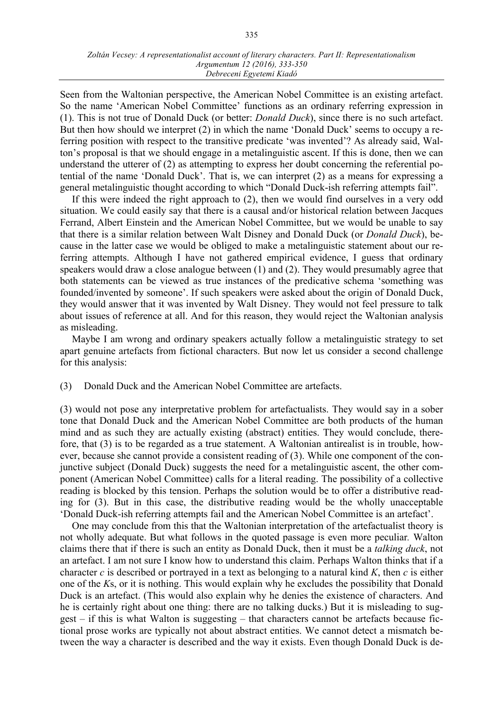#### *Zoltán Vecsey: A representationalist account of literary characters. Part II: Representationalism Argumentum 12 (2016), 333-350 Debreceni Egyetemi Kiadó*

Seen from the Waltonian perspective, the American Nobel Committee is an existing artefact. So the name ʻAmerican Nobel Committee' functions as an ordinary referring expression in (1). This is not true of Donald Duck (or better: *Donald Duck*), since there is no such artefact. But then how should we interpret (2) in which the name ʻDonald Duck' seems to occupy a referring position with respect to the transitive predicate ʻwas invented'? As already said, Walton's proposal is that we should engage in a metalinguistic ascent. If this is done, then we can understand the utterer of (2) as attempting to express her doubt concerning the referential potential of the name ʻDonald Duck'. That is, we can interpret (2) as a means for expressing a general metalinguistic thought according to which "Donald Duck-ish referring attempts fail".

If this were indeed the right approach to (2), then we would find ourselves in a very odd situation. We could easily say that there is a causal and/or historical relation between Jacques Ferrand, Albert Einstein and the American Nobel Committee, but we would be unable to say that there is a similar relation between Walt Disney and Donald Duck (or *Donald Duck*), because in the latter case we would be obliged to make a metalinguistic statement about our referring attempts. Although I have not gathered empirical evidence, I guess that ordinary speakers would draw a close analogue between (1) and (2). They would presumably agree that both statements can be viewed as true instances of the predicative schema ʻsomething was founded/invented by someone'. If such speakers were asked about the origin of Donald Duck, they would answer that it was invented by Walt Disney. They would not feel pressure to talk about issues of reference at all. And for this reason, they would reject the Waltonian analysis as misleading.

Maybe I am wrong and ordinary speakers actually follow a metalinguistic strategy to set apart genuine artefacts from fictional characters. But now let us consider a second challenge for this analysis:

#### (3) Donald Duck and the American Nobel Committee are artefacts.

(3) would not pose any interpretative problem for artefactualists. They would say in a sober tone that Donald Duck and the American Nobel Committee are both products of the human mind and as such they are actually existing (abstract) entities. They would conclude, therefore, that (3) is to be regarded as a true statement. A Waltonian antirealist is in trouble, however, because she cannot provide a consistent reading of (3). While one component of the conjunctive subject (Donald Duck) suggests the need for a metalinguistic ascent, the other component (American Nobel Committee) calls for a literal reading. The possibility of a collective reading is blocked by this tension. Perhaps the solution would be to offer a distributive reading for (3). But in this case, the distributive reading would be the wholly unacceptable ʻDonald Duck-ish referring attempts fail and the American Nobel Committee is an artefact'.

One may conclude from this that the Waltonian interpretation of the artefactualist theory is not wholly adequate. But what follows in the quoted passage is even more peculiar*.* Walton claims there that if there is such an entity as Donald Duck, then it must be a *talking duck*, not an artefact. I am not sure I know how to understand this claim. Perhaps Walton thinks that if a character *c* is described or portrayed in a text as belonging to a natural kind *K*, then *c* is either one of the *K*s, or it is nothing. This would explain why he excludes the possibility that Donald Duck is an artefact. (This would also explain why he denies the existence of characters. And he is certainly right about one thing: there are no talking ducks.) But it is misleading to suggest – if this is what Walton is suggesting – that characters cannot be artefacts because fictional prose works are typically not about abstract entities. We cannot detect a mismatch between the way a character is described and the way it exists. Even though Donald Duck is de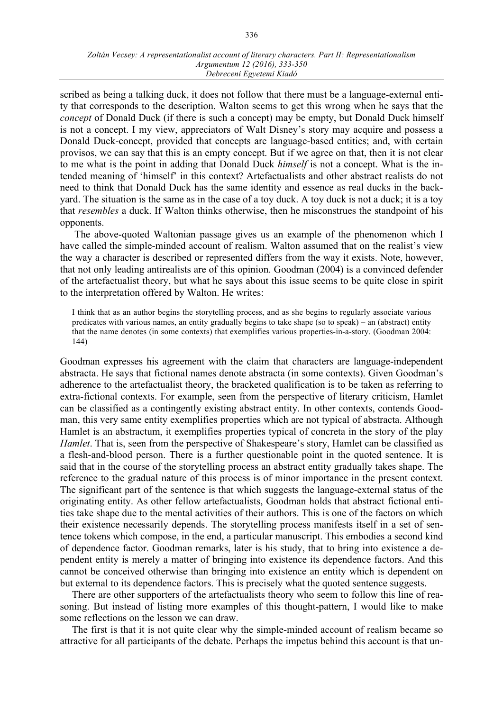scribed as being a talking duck, it does not follow that there must be a language-external entity that corresponds to the description. Walton seems to get this wrong when he says that the *concept* of Donald Duck (if there is such a concept) may be empty, but Donald Duck himself is not a concept. I my view, appreciators of Walt Disney's story may acquire and possess a Donald Duck-concept, provided that concepts are language-based entities; and, with certain provisos, we can say that this is an empty concept. But if we agree on that, then it is not clear to me what is the point in adding that Donald Duck *himself* is not a concept. What is the intended meaning of ʻhimself' in this context? Artefactualists and other abstract realists do not need to think that Donald Duck has the same identity and essence as real ducks in the backyard. The situation is the same as in the case of a toy duck. A toy duck is not a duck; it is a toy that *resembles* a duck. If Walton thinks otherwise, then he misconstrues the standpoint of his opponents.

The above-quoted Waltonian passage gives us an example of the phenomenon which I have called the simple-minded account of realism. Walton assumed that on the realist's view the way a character is described or represented differs from the way it exists. Note, however, that not only leading antirealists are of this opinion. Goodman (2004) is a convinced defender of the artefactualist theory, but what he says about this issue seems to be quite close in spirit to the interpretation offered by Walton. He writes:

I think that as an author begins the storytelling process, and as she begins to regularly associate various predicates with various names, an entity gradually begins to take shape (so to speak) – an (abstract) entity that the name denotes (in some contexts) that exemplifies various properties-in-a-story. (Goodman 2004: 144)

Goodman expresses his agreement with the claim that characters are language-independent abstracta. He says that fictional names denote abstracta (in some contexts). Given Goodman's adherence to the artefactualist theory, the bracketed qualification is to be taken as referring to extra-fictional contexts. For example, seen from the perspective of literary criticism, Hamlet can be classified as a contingently existing abstract entity. In other contexts, contends Goodman, this very same entity exemplifies properties which are not typical of abstracta. Although Hamlet is an abstractum, it exemplifies properties typical of concreta in the story of the play *Hamlet*. That is, seen from the perspective of Shakespeare's story, Hamlet can be classified as a flesh-and-blood person. There is a further questionable point in the quoted sentence. It is said that in the course of the storytelling process an abstract entity gradually takes shape. The reference to the gradual nature of this process is of minor importance in the present context. The significant part of the sentence is that which suggests the language-external status of the originating entity. As other fellow artefactualists, Goodman holds that abstract fictional entities take shape due to the mental activities of their authors. This is one of the factors on which their existence necessarily depends. The storytelling process manifests itself in a set of sentence tokens which compose, in the end, a particular manuscript. This embodies a second kind of dependence factor. Goodman remarks, later is his study, that to bring into existence a dependent entity is merely a matter of bringing into existence its dependence factors. And this cannot be conceived otherwise than bringing into existence an entity which is dependent on but external to its dependence factors. This is precisely what the quoted sentence suggests.

There are other supporters of the artefactualists theory who seem to follow this line of reasoning. But instead of listing more examples of this thought-pattern, I would like to make some reflections on the lesson we can draw.

The first is that it is not quite clear why the simple-minded account of realism became so attractive for all participants of the debate. Perhaps the impetus behind this account is that un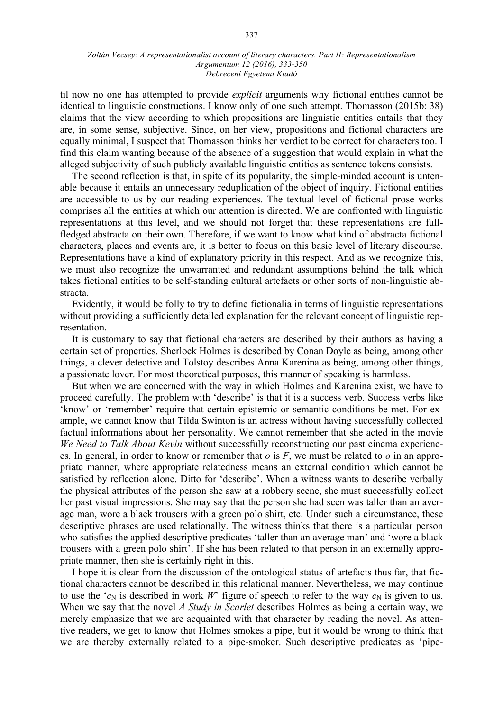til now no one has attempted to provide *explicit* arguments why fictional entities cannot be identical to linguistic constructions. I know only of one such attempt. Thomasson (2015b: 38) claims that the view according to which propositions are linguistic entities entails that they are, in some sense, subjective. Since, on her view, propositions and fictional characters are equally minimal, I suspect that Thomasson thinks her verdict to be correct for characters too. I find this claim wanting because of the absence of a suggestion that would explain in what the alleged subjectivity of such publicly available linguistic entities as sentence tokens consists.

The second reflection is that, in spite of its popularity, the simple-minded account is untenable because it entails an unnecessary reduplication of the object of inquiry. Fictional entities are accessible to us by our reading experiences. The textual level of fictional prose works comprises all the entities at which our attention is directed. We are confronted with linguistic representations at this level, and we should not forget that these representations are fullfledged abstracta on their own. Therefore, if we want to know what kind of abstracta fictional characters, places and events are, it is better to focus on this basic level of literary discourse. Representations have a kind of explanatory priority in this respect. And as we recognize this, we must also recognize the unwarranted and redundant assumptions behind the talk which takes fictional entities to be self-standing cultural artefacts or other sorts of non-linguistic abstracta.

Evidently, it would be folly to try to define fictionalia in terms of linguistic representations without providing a sufficiently detailed explanation for the relevant concept of linguistic representation.

It is customary to say that fictional characters are described by their authors as having a certain set of properties. Sherlock Holmes is described by Conan Doyle as being, among other things, a clever detective and Tolstoy describes Anna Karenina as being, among other things, a passionate lover. For most theoretical purposes, this manner of speaking is harmless.

But when we are concerned with the way in which Holmes and Karenina exist, we have to proceed carefully. The problem with ʻdescribe' is that it is a success verb. Success verbs like ʻknow' or ʻremember' require that certain epistemic or semantic conditions be met. For example, we cannot know that Tilda Swinton is an actress without having successfully collected factual informations about her personality. We cannot remember that she acted in the movie *We Need to Talk About Kevin* without successfully reconstructing our past cinema experiences. In general, in order to know or remember that *o* is *F*, we must be related to *o* in an appropriate manner, where appropriate relatedness means an external condition which cannot be satisfied by reflection alone. Ditto for ʻdescribe'. When a witness wants to describe verbally the physical attributes of the person she saw at a robbery scene, she must successfully collect her past visual impressions. She may say that the person she had seen was taller than an average man, wore a black trousers with a green polo shirt, etc. Under such a circumstance, these descriptive phrases are used relationally. The witness thinks that there is a particular person who satisfies the applied descriptive predicates ʻtaller than an average man' and ʻwore a black trousers with a green polo shirt'. If she has been related to that person in an externally appropriate manner, then she is certainly right in this.

I hope it is clear from the discussion of the ontological status of artefacts thus far, that fictional characters cannot be described in this relational manner. Nevertheless, we may continue to use the  $c_N$  is described in work W<sup>o</sup> figure of speech to refer to the way  $c_N$  is given to us. When we say that the novel *A Study in Scarlet* describes Holmes as being a certain way, we merely emphasize that we are acquainted with that character by reading the novel. As attentive readers, we get to know that Holmes smokes a pipe, but it would be wrong to think that we are thereby externally related to a pipe-smoker. Such descriptive predicates as ʻpipe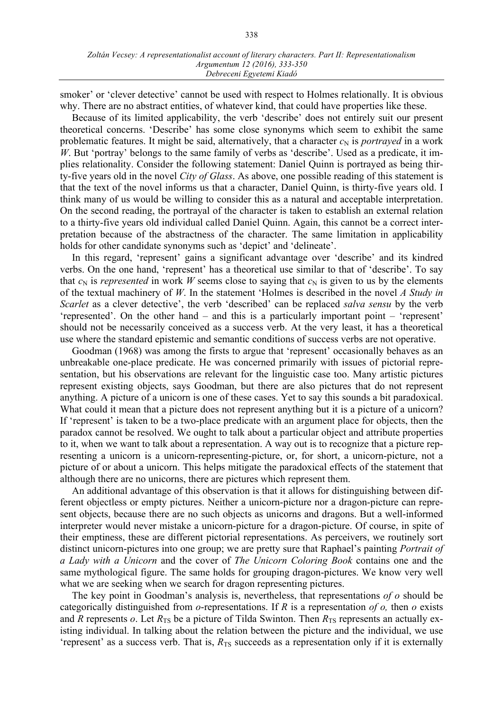smoker' or ʻclever detective' cannot be used with respect to Holmes relationally. It is obvious why. There are no abstract entities, of whatever kind, that could have properties like these.

Because of its limited applicability, the verb ʻdescribe' does not entirely suit our present theoretical concerns. ʻDescribe' has some close synonyms which seem to exhibit the same problematic features. It might be said, alternatively, that a character  $c_N$  is *portrayed* in a work *W*. But 'portray' belongs to the same family of verbs as 'describe'. Used as a predicate, it implies relationality. Consider the following statement: Daniel Quinn is portrayed as being thirty-five years old in the novel *City of Glass*. As above, one possible reading of this statement is that the text of the novel informs us that a character, Daniel Quinn, is thirty-five years old. I think many of us would be willing to consider this as a natural and acceptable interpretation. On the second reading, the portrayal of the character is taken to establish an external relation to a thirty-five years old individual called Daniel Quinn. Again, this cannot be a correct interpretation because of the abstractness of the character. The same limitation in applicability holds for other candidate synonyms such as ʻdepict' and ʻdelineate'.

In this regard, ʻrepresent' gains a significant advantage over ʻdescribe' and its kindred verbs. On the one hand, ʻrepresent' has a theoretical use similar to that of ʻdescribe'. To say that  $c_N$  is *represented* in work *W* seems close to saying that  $c_N$  is given to us by the elements of the textual machinery of *W*. In the statement ʻHolmes is described in the novel *A Study in Scarlet* as a clever detective', the verb ʻdescribed' can be replaced *salva sensu* by the verb ʻrepresented'. On the other hand – and this is a particularly important point – ʻrepresent' should not be necessarily conceived as a success verb. At the very least, it has a theoretical use where the standard epistemic and semantic conditions of success verbs are not operative.

Goodman (1968) was among the firsts to argue that ʻrepresent' occasionally behaves as an unbreakable one-place predicate. He was concerned primarily with issues of pictorial representation, but his observations are relevant for the linguistic case too. Many artistic pictures represent existing objects, says Goodman, but there are also pictures that do not represent anything. A picture of a unicorn is one of these cases. Yet to say this sounds a bit paradoxical. What could it mean that a picture does not represent anything but it is a picture of a unicorn? If ʻrepresent' is taken to be a two-place predicate with an argument place for objects, then the paradox cannot be resolved. We ought to talk about a particular object and attribute properties to it, when we want to talk about a representation. A way out is to recognize that a picture representing a unicorn is a unicorn-representing-picture, or, for short, a unicorn-picture, not a picture of or about a unicorn. This helps mitigate the paradoxical effects of the statement that although there are no unicorns, there are pictures which represent them.

An additional advantage of this observation is that it allows for distinguishing between different objectless or empty pictures. Neither a unicorn-picture nor a dragon-picture can represent objects, because there are no such objects as unicorns and dragons. But a well-informed interpreter would never mistake a unicorn-picture for a dragon-picture. Of course, in spite of their emptiness, these are different pictorial representations. As perceivers, we routinely sort distinct unicorn-pictures into one group; we are pretty sure that Raphael's painting *Portrait of a Lady with a Unicorn* and the cover of *The Unicorn Coloring Book* contains one and the same mythological figure. The same holds for grouping dragon-pictures. We know very well what we are seeking when we search for dragon representing pictures.

The key point in Goodman's analysis is, nevertheless, that representations *of o* should be categorically distinguished from *o*-representations. If *R* is a representation *of o,* then *o* exists and *R* represents *o*. Let  $R_{TS}$  be a picture of Tilda Swinton. Then  $R_{TS}$  represents an actually existing individual. In talking about the relation between the picture and the individual, we use  $'$ represent' as a success verb. That is,  $R_{TS}$  succeeds as a representation only if it is externally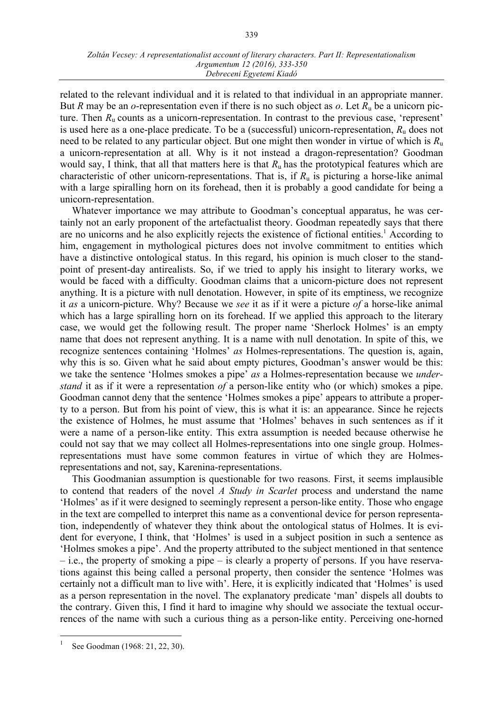#### *Zoltán Vecsey: A representationalist account of literary characters. Part II: Representationalism Argumentum 12 (2016), 333-350 Debreceni Egyetemi Kiadó*

related to the relevant individual and it is related to that individual in an appropriate manner. But *R* may be an *o*-representation even if there is no such object as *o*. Let  $R_u$  be a unicorn picture. Then *R*<sup>u</sup> counts as a unicorn-representation. In contrast to the previous case, ʻrepresent' is used here as a one-place predicate. To be a (successful) unicorn-representation, *R*<sup>u</sup> does not need to be related to any particular object. But one might then wonder in virtue of which is *R*<sup>u</sup> a unicorn-representation at all. Why is it not instead a dragon-representation? Goodman would say, I think, that all that matters here is that *R*u has the prototypical features which are characteristic of other unicorn-representations. That is, if  $R<sub>u</sub>$  is picturing a horse-like animal with a large spiralling horn on its forehead, then it is probably a good candidate for being a unicorn-representation.

Whatever importance we may attribute to Goodman's conceptual apparatus, he was certainly not an early proponent of the artefactualist theory. Goodman repeatedly says that there are no unicorns and he also explicitly rejects the existence of fictional entities.<sup>1</sup> According to him, engagement in mythological pictures does not involve commitment to entities which have a distinctive ontological status. In this regard, his opinion is much closer to the standpoint of present-day antirealists. So, if we tried to apply his insight to literary works, we would be faced with a difficulty. Goodman claims that a unicorn-picture does not represent anything. It is a picture with null denotation. However, in spite of its emptiness, we recognize it *as* a unicorn-picture. Why? Because we *see* it as if it were a picture *of* a horse-like animal which has a large spiralling horn on its forehead. If we applied this approach to the literary case, we would get the following result. The proper name ʻSherlock Holmes' is an empty name that does not represent anything. It is a name with null denotation. In spite of this, we recognize sentences containing ʻHolmes' *as* Holmes-representations. The question is, again, why this is so. Given what he said about empty pictures, Goodman's answer would be this: we take the sentence ʻHolmes smokes a pipe' *as* a Holmes-representation because we *understand* it as if it were a representation *of* a person-like entity who (or which) smokes a pipe. Goodman cannot deny that the sentence ʻHolmes smokes a pipe' appears to attribute a property to a person. But from his point of view, this is what it is: an appearance. Since he rejects the existence of Holmes, he must assume that ʻHolmes' behaves in such sentences as if it were a name of a person-like entity. This extra assumption is needed because otherwise he could not say that we may collect all Holmes-representations into one single group. Holmesrepresentations must have some common features in virtue of which they are Holmesrepresentations and not, say, Karenina-representations.

This Goodmanian assumption is questionable for two reasons. First, it seems implausible to contend that readers of the novel *A Study in Scarlet* process and understand the name ʻHolmes' as if it were designed to seemingly represent a person-like entity. Those who engage in the text are compelled to interpret this name as a conventional device for person representation, independently of whatever they think about the ontological status of Holmes. It is evident for everyone, I think, that ʻHolmes' is used in a subject position in such a sentence as ʻHolmes smokes a pipe'. And the property attributed to the subject mentioned in that sentence – i.e., the property of smoking a pipe – is clearly a property of persons. If you have reservations against this being called a personal property, then consider the sentence ʻHolmes was certainly not a difficult man to live with'. Here, it is explicitly indicated that ʻHolmes' is used as a person representation in the novel. The explanatory predicate ʻman' dispels all doubts to the contrary. Given this, I find it hard to imagine why should we associate the textual occurrences of the name with such a curious thing as a person-like entity. Perceiving one-horned

See Goodman (1968: 21, 22, 30).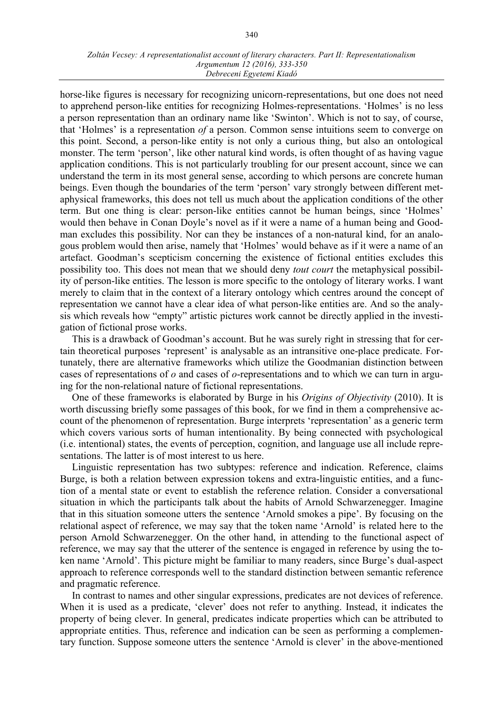horse-like figures is necessary for recognizing unicorn-representations, but one does not need to apprehend person-like entities for recognizing Holmes-representations. ʻHolmes' is no less a person representation than an ordinary name like ʻSwinton'. Which is not to say, of course, that ʻHolmes' is a representation *of* a person. Common sense intuitions seem to converge on this point. Second, a person-like entity is not only a curious thing, but also an ontological monster. The term ʻperson', like other natural kind words, is often thought of as having vague application conditions. This is not particularly troubling for our present account, since we can understand the term in its most general sense, according to which persons are concrete human beings. Even though the boundaries of the term ʻperson' vary strongly between different metaphysical frameworks, this does not tell us much about the application conditions of the other term. But one thing is clear: person-like entities cannot be human beings, since ʻHolmes' would then behave in Conan Doyle's novel as if it were a name of a human being and Goodman excludes this possibility. Nor can they be instances of a non-natural kind, for an analogous problem would then arise, namely that ʻHolmes' would behave as if it were a name of an artefact. Goodman's scepticism concerning the existence of fictional entities excludes this possibility too. This does not mean that we should deny *tout court* the metaphysical possibility of person-like entities. The lesson is more specific to the ontology of literary works. I want merely to claim that in the context of a literary ontology which centres around the concept of representation we cannot have a clear idea of what person-like entities are. And so the analysis which reveals how "empty" artistic pictures work cannot be directly applied in the investigation of fictional prose works.

This is a drawback of Goodman's account. But he was surely right in stressing that for certain theoretical purposes ʻrepresent' is analysable as an intransitive one-place predicate. Fortunately, there are alternative frameworks which utilize the Goodmanian distinction between cases of representations of *o* and cases of *o*-representations and to which we can turn in arguing for the non-relational nature of fictional representations.

One of these frameworks is elaborated by Burge in his *Origins of Objectivity* (2010). It is worth discussing briefly some passages of this book, for we find in them a comprehensive account of the phenomenon of representation. Burge interprets ʻrepresentation' as a generic term which covers various sorts of human intentionality. By being connected with psychological (i.e. intentional) states, the events of perception, cognition, and language use all include representations. The latter is of most interest to us here.

Linguistic representation has two subtypes: reference and indication. Reference, claims Burge, is both a relation between expression tokens and extra-linguistic entities, and a function of a mental state or event to establish the reference relation. Consider a conversational situation in which the participants talk about the habits of Arnold Schwarzenegger. Imagine that in this situation someone utters the sentence ʻArnold smokes a pipe'. By focusing on the relational aspect of reference, we may say that the token name ʻArnold' is related here to the person Arnold Schwarzenegger. On the other hand, in attending to the functional aspect of reference, we may say that the utterer of the sentence is engaged in reference by using the token name ʻArnold'. This picture might be familiar to many readers, since Burge's dual-aspect approach to reference corresponds well to the standard distinction between semantic reference and pragmatic reference.

In contrast to names and other singular expressions, predicates are not devices of reference. When it is used as a predicate, ʻclever' does not refer to anything. Instead, it indicates the property of being clever. In general, predicates indicate properties which can be attributed to appropriate entities. Thus, reference and indication can be seen as performing a complementary function. Suppose someone utters the sentence ʻArnold is clever' in the above-mentioned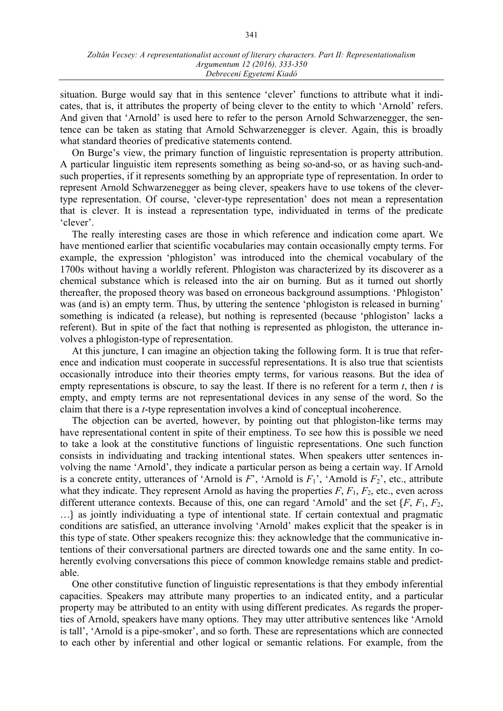situation. Burge would say that in this sentence ʻclever' functions to attribute what it indicates, that is, it attributes the property of being clever to the entity to which ʻArnold' refers. And given that ʻArnold' is used here to refer to the person Arnold Schwarzenegger, the sentence can be taken as stating that Arnold Schwarzenegger is clever. Again, this is broadly what standard theories of predicative statements contend.

On Burge's view, the primary function of linguistic representation is property attribution. A particular linguistic item represents something as being so-and-so, or as having such-andsuch properties, if it represents something by an appropriate type of representation. In order to represent Arnold Schwarzenegger as being clever, speakers have to use tokens of the clevertype representation. Of course, ʻclever-type representation' does not mean a representation that is clever. It is instead a representation type, individuated in terms of the predicate ʻclever'.

The really interesting cases are those in which reference and indication come apart. We have mentioned earlier that scientific vocabularies may contain occasionally empty terms. For example, the expression ʻphlogiston' was introduced into the chemical vocabulary of the 1700s without having a worldly referent. Phlogiston was characterized by its discoverer as a chemical substance which is released into the air on burning. But as it turned out shortly thereafter, the proposed theory was based on erroneous background assumptions. ʻPhlogiston' was (and is) an empty term. Thus, by uttering the sentence ʻphlogiston is released in burning' something is indicated (a release), but nothing is represented (because ʻphlogiston' lacks a referent). But in spite of the fact that nothing is represented as phlogiston, the utterance involves a phlogiston-type of representation.

At this juncture, I can imagine an objection taking the following form. It is true that reference and indication must cooperate in successful representations. It is also true that scientists occasionally introduce into their theories empty terms, for various reasons. But the idea of empty representations is obscure, to say the least. If there is no referent for a term *t*, then *t* is empty, and empty terms are not representational devices in any sense of the word. So the claim that there is a *t*-type representation involves a kind of conceptual incoherence.

The objection can be averted, however, by pointing out that phlogiston-like terms may have representational content in spite of their emptiness. To see how this is possible we need to take a look at the constitutive functions of linguistic representations. One such function consists in individuating and tracking intentional states. When speakers utter sentences involving the name ʻArnold', they indicate a particular person as being a certain way. If Arnold is a concrete entity, utterances of 'Arnold is  $F'$ , 'Arnold is  $F_1$ ', 'Arnold is  $F_2$ ', etc., attribute what they indicate. They represent Arnold as having the properties  $F$ ,  $F_1$ ,  $F_2$ , etc., even across different utterance contexts. Because of this, one can regard ʻArnold' and the set {*F*, *F*1, *F*2, …} as jointly individuating a type of intentional state. If certain contextual and pragmatic conditions are satisfied, an utterance involving ʻArnold' makes explicit that the speaker is in this type of state. Other speakers recognize this: they acknowledge that the communicative intentions of their conversational partners are directed towards one and the same entity. In coherently evolving conversations this piece of common knowledge remains stable and predictable.

One other constitutive function of linguistic representations is that they embody inferential capacities. Speakers may attribute many properties to an indicated entity, and a particular property may be attributed to an entity with using different predicates. As regards the properties of Arnold, speakers have many options. They may utter attributive sentences like ʻArnold is tall', ʻArnold is a pipe-smoker', and so forth. These are representations which are connected to each other by inferential and other logical or semantic relations. For example, from the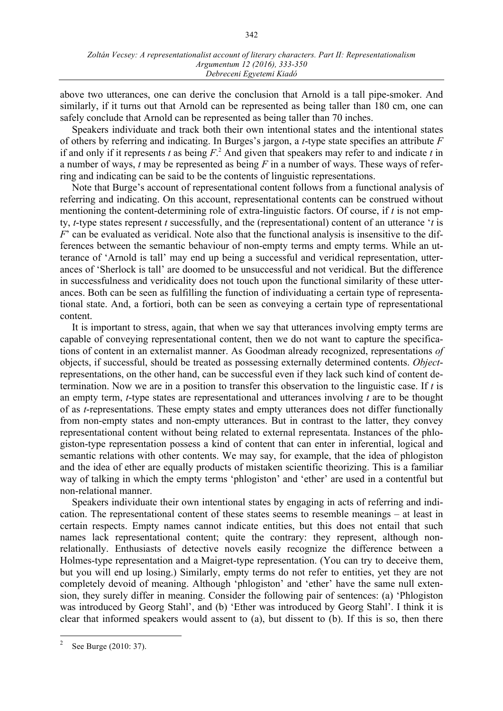above two utterances, one can derive the conclusion that Arnold is a tall pipe-smoker. And similarly, if it turns out that Arnold can be represented as being taller than 180 cm, one can safely conclude that Arnold can be represented as being taller than 70 inches.

Speakers individuate and track both their own intentional states and the intentional states of others by referring and indicating. In Burges's jargon, a *t*-type state specifies an attribute *F* if and only if it represents *t* as being *F*. <sup>2</sup> And given that speakers may refer to and indicate *t* in a number of ways, *t* may be represented as being *F* in a number of ways. These ways of referring and indicating can be said to be the contents of linguistic representations.

Note that Burge's account of representational content follows from a functional analysis of referring and indicating. On this account, representational contents can be construed without mentioning the content-determining role of extra-linguistic factors. Of course, if *t* is not empty, *t*-type states represent *t* successfully, and the (representational) content of an utterance ʻ*t* is *F*' can be evaluated as veridical. Note also that the functional analysis is insensitive to the differences between the semantic behaviour of non-empty terms and empty terms. While an utterance of ʻArnold is tall' may end up being a successful and veridical representation, utterances of ʻSherlock is tall' are doomed to be unsuccessful and not veridical. But the difference in successfulness and veridicality does not touch upon the functional similarity of these utterances. Both can be seen as fulfilling the function of individuating a certain type of representational state. And, a fortiori, both can be seen as conveying a certain type of representational content.

It is important to stress, again, that when we say that utterances involving empty terms are capable of conveying representational content, then we do not want to capture the specifications of content in an externalist manner. As Goodman already recognized, representations *of* objects, if successful, should be treated as possessing externally determined contents. *Object*representations, on the other hand, can be successful even if they lack such kind of content determination. Now we are in a position to transfer this observation to the linguistic case. If *t* is an empty term, *t*-type states are representational and utterances involving *t* are to be thought of as *t*-representations. These empty states and empty utterances does not differ functionally from non-empty states and non-empty utterances. But in contrast to the latter, they convey representational content without being related to external representata. Instances of the phlogiston-type representation possess a kind of content that can enter in inferential, logical and semantic relations with other contents. We may say, for example, that the idea of phlogiston and the idea of ether are equally products of mistaken scientific theorizing. This is a familiar way of talking in which the empty terms ʻphlogiston' and ʻether' are used in a contentful but non-relational manner.

Speakers individuate their own intentional states by engaging in acts of referring and indication. The representational content of these states seems to resemble meanings – at least in certain respects. Empty names cannot indicate entities, but this does not entail that such names lack representational content; quite the contrary: they represent, although nonrelationally. Enthusiasts of detective novels easily recognize the difference between a Holmes-type representation and a Maigret-type representation. (You can try to deceive them, but you will end up losing.) Similarly, empty terms do not refer to entities, yet they are not completely devoid of meaning. Although ʻphlogiston' and ʻether' have the same null extension, they surely differ in meaning. Consider the following pair of sentences: (a) ʻPhlogiston was introduced by Georg Stahl', and (b) ʻEther was introduced by Georg Stahl'. I think it is clear that informed speakers would assent to (a), but dissent to (b). If this is so, then there

<sup>&</sup>lt;sup>2</sup> See Burge (2010: 37).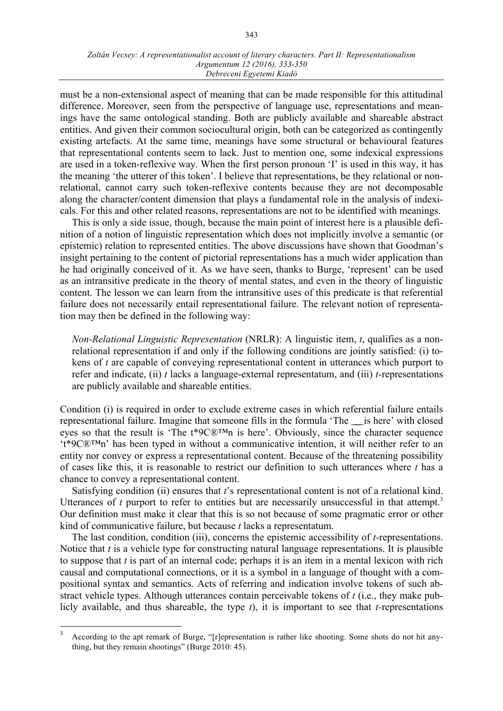#### *Zoltán Vecsey: A representationalist account of literary characters. Part II: Representationalism Argumentum 12 (2016), 333-350 Debreceni Egyetemi Kiadó*

must be a non-extensional aspect of meaning that can be made responsible for this attitudinal difference. Moreover, seen from the perspective of language use, representations and meanings have the same ontological standing. Both are publicly available and shareable abstract entities. And given their common sociocultural origin, both can be categorized as contingently existing artefacts. At the same time, meanings have some structural or behavioural features that representational contents seem to lack. Just to mention one, some indexical expressions are used in a token-reflexive way. When the first person pronoun ʻI' is used in this way, it has the meaning ʻthe utterer of this token'. I believe that representations, be they relational or nonrelational, cannot carry such token-reflexive contents because they are not decomposable along the character/content dimension that plays a fundamental role in the analysis of indexicals. For this and other related reasons, representations are not to be identified with meanings.

This is only a side issue, though, because the main point of interest here is a plausible definition of a notion of linguistic representation which does not implicitly involve a semantic (or epistemic) relation to represented entities. The above discussions have shown that Goodman's insight pertaining to the content of pictorial representations has a much wider application than he had originally conceived of it. As we have seen, thanks to Burge, ʻrepresent' can be used as an intransitive predicate in the theory of mental states, and even in the theory of linguistic content. The lesson we can learn from the intransitive uses of this predicate is that referential failure does not necessarily entail representational failure. The relevant notion of representation may then be defined in the following way:

*Non-Relational Linguistic Representation* (NRLR): A linguistic item, *t*, qualifies as a nonrelational representation if and only if the following conditions are jointly satisfied: (i) tokens of *t* are capable of conveying representational content in utterances which purport to refer and indicate, (ii) *t* lacks a language-external representatum, and (iii) *t-*representations are publicly available and shareable entities.

Condition (i) is required in order to exclude extreme cases in which referential failure entails representational failure. Imagine that someone fills in the formula ʻThe ̲̲̲̲is here' with closed eyes so that the result is ʻThe t\*9C®™n is here'. Obviously, since the character sequence ʻt\*9C®™n' has been typed in without a communicative intention, it will neither refer to an entity nor convey or express a representational content. Because of the threatening possibility of cases like this, it is reasonable to restrict our definition to such utterances where *t* has a chance to convey a representational content.

Satisfying condition (ii) ensures that *t*'s representational content is not of a relational kind. Utterances of  $t$  purport to refer to entities but are necessarily unsuccessful in that attempt.<sup>3</sup> Our definition must make it clear that this is so not because of some pragmatic error or other kind of communicative failure, but because *t* lacks a representatum.

The last condition, condition (iii), concerns the epistemic accessibility of *t-*representations. Notice that *t* is a vehicle type for constructing natural language representations. It is plausible to suppose that *t* is part of an internal code; perhaps it is an item in a mental lexicon with rich causal and computational connections, or it is a symbol in a language of thought with a compositional syntax and semantics. Acts of referring and indication involve tokens of such abstract vehicle types. Although utterances contain perceivable tokens of *t* (i.e., they make publicly available, and thus shareable, the type *t*), it is important to see that *t-*representations

<sup>&</sup>lt;sup>3</sup> According to the apt remark of Burge, "[r]epresentation is rather like shooting. Some shots do not hit anything, but they remain shootings" (Burge 2010: 45).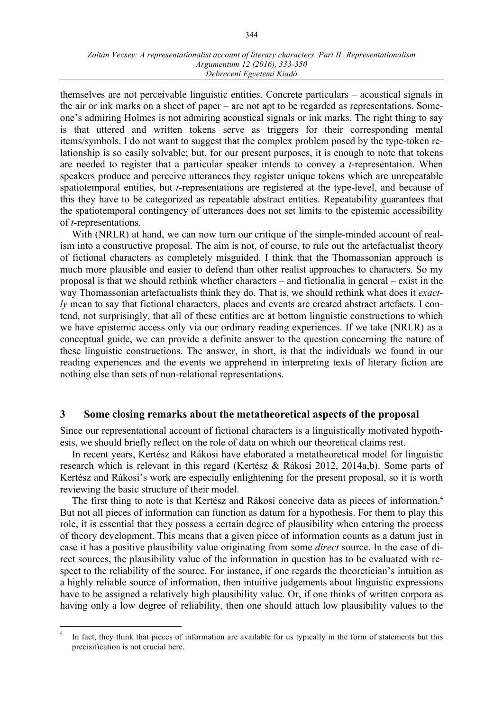themselves are not perceivable linguistic entities. Concrete particulars – acoustical signals in the air or ink marks on a sheet of paper – are not apt to be regarded as representations. Someone's admiring Holmes is not admiring acoustical signals or ink marks. The right thing to say is that uttered and written tokens serve as triggers for their corresponding mental items/symbols. I do not want to suggest that the complex problem posed by the type-token relationship is so easily solvable; but, for our present purposes, it is enough to note that tokens are needed to register that a particular speaker intends to convey a *t*-representation. When speakers produce and perceive utterances they register unique tokens which are unrepeatable spatiotemporal entities, but *t-*representations are registered at the type-level, and because of this they have to be categorized as repeatable abstract entities. Repeatability guarantees that the spatiotemporal contingency of utterances does not set limits to the epistemic accessibility of *t-*representations.

With (NRLR) at hand, we can now turn our critique of the simple-minded account of realism into a constructive proposal. The aim is not, of course, to rule out the artefactualist theory of fictional characters as completely misguided. I think that the Thomassonian approach is much more plausible and easier to defend than other realist approaches to characters. So my proposal is that we should rethink whether characters – and fictionalia in general – exist in the way Thomassonian artefactualists think they do. That is, we should rethink what does it *exactly* mean to say that fictional characters, places and events are created abstract artefacts. I contend, not surprisingly, that all of these entities are at bottom linguistic constructions to which we have epistemic access only via our ordinary reading experiences. If we take (NRLR) as a conceptual guide, we can provide a definite answer to the question concerning the nature of these linguistic constructions. The answer, in short, is that the individuals we found in our reading experiences and the events we apprehend in interpreting texts of literary fiction are nothing else than sets of non-relational representations.

### **3 Some closing remarks about the metatheoretical aspects of the proposal**

Since our representational account of fictional characters is a linguistically motivated hypothesis, we should briefly reflect on the role of data on which our theoretical claims rest.

In recent years, Kertész and Rákosi have elaborated a metatheoretical model for linguistic research which is relevant in this regard (Kertész & Rákosi 2012, 2014a,b). Some parts of Kertész and Rákosi's work are especially enlightening for the present proposal, so it is worth reviewing the basic structure of their model.

The first thing to note is that Kertész and Rákosi conceive data as pieces of information.<sup>4</sup> But not all pieces of information can function as datum for a hypothesis. For them to play this role, it is essential that they possess a certain degree of plausibility when entering the process of theory development. This means that a given piece of information counts as a datum just in case it has a positive plausibility value originating from some *direct* source. In the case of direct sources, the plausibility value of the information in question has to be evaluated with respect to the reliability of the source. For instance, if one regards the theoretician's intuition as a highly reliable source of information, then intuitive judgements about linguistic expressions have to be assigned a relatively high plausibility value. Or, if one thinks of written corpora as having only a low degree of reliability, then one should attach low plausibility values to the

In fact, they think that pieces of information are available for us typically in the form of statements but this precisification is not crucial here.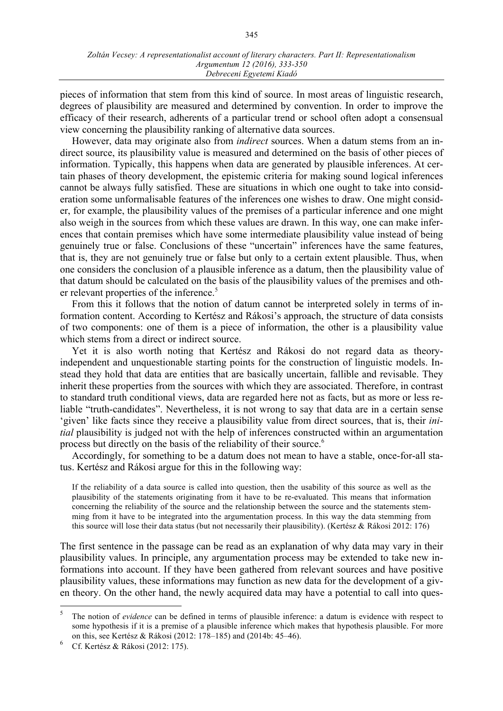pieces of information that stem from this kind of source. In most areas of linguistic research, degrees of plausibility are measured and determined by convention. In order to improve the efficacy of their research, adherents of a particular trend or school often adopt a consensual view concerning the plausibility ranking of alternative data sources.

However, data may originate also from *indirect* sources. When a datum stems from an indirect source, its plausibility value is measured and determined on the basis of other pieces of information. Typically, this happens when data are generated by plausible inferences. At certain phases of theory development, the epistemic criteria for making sound logical inferences cannot be always fully satisfied. These are situations in which one ought to take into consideration some unformalisable features of the inferences one wishes to draw. One might consider, for example, the plausibility values of the premises of a particular inference and one might also weigh in the sources from which these values are drawn. In this way, one can make inferences that contain premises which have some intermediate plausibility value instead of being genuinely true or false. Conclusions of these "uncertain" inferences have the same features, that is, they are not genuinely true or false but only to a certain extent plausible. Thus, when one considers the conclusion of a plausible inference as a datum, then the plausibility value of that datum should be calculated on the basis of the plausibility values of the premises and other relevant properties of the inference.<sup>5</sup>

From this it follows that the notion of datum cannot be interpreted solely in terms of information content. According to Kertész and Rákosi's approach, the structure of data consists of two components: one of them is a piece of information, the other is a plausibility value which stems from a direct or indirect source.

Yet it is also worth noting that Kertész and Rákosi do not regard data as theoryindependent and unquestionable starting points for the construction of linguistic models. Instead they hold that data are entities that are basically uncertain, fallible and revisable. They inherit these properties from the sources with which they are associated. Therefore, in contrast to standard truth conditional views, data are regarded here not as facts, but as more or less reliable "truth-candidates". Nevertheless, it is not wrong to say that data are in a certain sense 'given' like facts since they receive a plausibility value from direct sources, that is, their *initial* plausibility is judged not with the help of inferences constructed within an argumentation process but directly on the basis of the reliability of their source.6

Accordingly, for something to be a datum does not mean to have a stable, once-for-all status. Kertész and Rákosi argue for this in the following way:

If the reliability of a data source is called into question, then the usability of this source as well as the plausibility of the statements originating from it have to be re-evaluated. This means that information concerning the reliability of the source and the relationship between the source and the statements stemming from it have to be integrated into the argumentation process. In this way the data stemming from this source will lose their data status (but not necessarily their plausibility). (Kertész & Rákosi 2012: 176)

The first sentence in the passage can be read as an explanation of why data may vary in their plausibility values. In principle, any argumentation process may be extended to take new informations into account. If they have been gathered from relevant sources and have positive plausibility values, these informations may function as new data for the development of a given theory. On the other hand, the newly acquired data may have a potential to call into ques-

 <sup>5</sup> The notion of *evidence* can be defined in terms of plausible inference: a datum is evidence with respect to some hypothesis if it is a premise of a plausible inference which makes that hypothesis plausible. For more on this, see Kertész & Rákosi (2012: 178–185) and (2014b: 45–46).

<sup>6</sup> Cf. Kertész & Rákosi (2012: 175).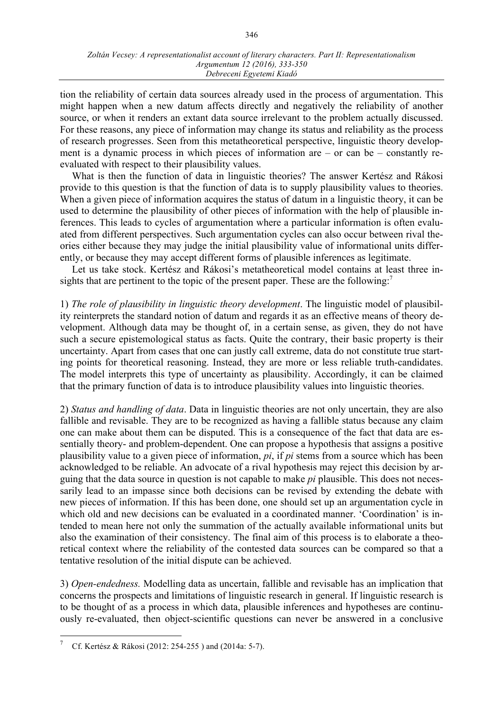tion the reliability of certain data sources already used in the process of argumentation. This might happen when a new datum affects directly and negatively the reliability of another source, or when it renders an extant data source irrelevant to the problem actually discussed. For these reasons, any piece of information may change its status and reliability as the process of research progresses. Seen from this metatheoretical perspective, linguistic theory development is a dynamic process in which pieces of information are – or can be – constantly reevaluated with respect to their plausibility values.

What is then the function of data in linguistic theories? The answer Kertész and Rákosi provide to this question is that the function of data is to supply plausibility values to theories. When a given piece of information acquires the status of datum in a linguistic theory, it can be used to determine the plausibility of other pieces of information with the help of plausible inferences. This leads to cycles of argumentation where a particular information is often evaluated from different perspectives. Such argumentation cycles can also occur between rival theories either because they may judge the initial plausibility value of informational units differently, or because they may accept different forms of plausible inferences as legitimate.

Let us take stock. Kertész and Rákosi's metatheoretical model contains at least three insights that are pertinent to the topic of the present paper. These are the following:<sup>7</sup>

1) *The role of plausibility in linguistic theory development*. The linguistic model of plausibility reinterprets the standard notion of datum and regards it as an effective means of theory development. Although data may be thought of, in a certain sense, as given, they do not have such a secure epistemological status as facts. Quite the contrary, their basic property is their uncertainty. Apart from cases that one can justly call extreme, data do not constitute true starting points for theoretical reasoning. Instead, they are more or less reliable truth-candidates. The model interprets this type of uncertainty as plausibility. Accordingly, it can be claimed that the primary function of data is to introduce plausibility values into linguistic theories.

2) *Status and handling of data*. Data in linguistic theories are not only uncertain, they are also fallible and revisable. They are to be recognized as having a fallible status because any claim one can make about them can be disputed. This is a consequence of the fact that data are essentially theory- and problem-dependent. One can propose a hypothesis that assigns a positive plausibility value to a given piece of information, *pi*, if *pi* stems from a source which has been acknowledged to be reliable. An advocate of a rival hypothesis may reject this decision by arguing that the data source in question is not capable to make *pi* plausible. This does not necessarily lead to an impasse since both decisions can be revised by extending the debate with new pieces of information. If this has been done, one should set up an argumentation cycle in which old and new decisions can be evaluated in a coordinated manner. ʻCoordination' is intended to mean here not only the summation of the actually available informational units but also the examination of their consistency. The final aim of this process is to elaborate a theoretical context where the reliability of the contested data sources can be compared so that a tentative resolution of the initial dispute can be achieved.

3) *Open-endedness.* Modelling data as uncertain, fallible and revisable has an implication that concerns the prospects and limitations of linguistic research in general. If linguistic research is to be thought of as a process in which data, plausible inferences and hypotheses are continuously re-evaluated, then object-scientific questions can never be answered in a conclusive

 <sup>7</sup> Cf. Kertész & Rákosi (2012: 254-255 ) and (2014a: 5-7).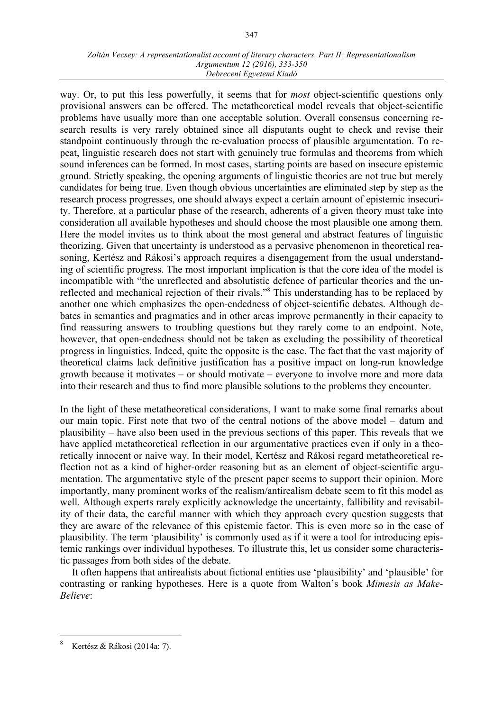way. Or, to put this less powerfully, it seems that for *most* object-scientific questions only provisional answers can be offered. The metatheoretical model reveals that object-scientific problems have usually more than one acceptable solution. Overall consensus concerning research results is very rarely obtained since all disputants ought to check and revise their standpoint continuously through the re-evaluation process of plausible argumentation. To repeat, linguistic research does not start with genuinely true formulas and theorems from which sound inferences can be formed. In most cases, starting points are based on insecure epistemic ground. Strictly speaking, the opening arguments of linguistic theories are not true but merely candidates for being true. Even though obvious uncertainties are eliminated step by step as the research process progresses, one should always expect a certain amount of epistemic insecurity. Therefore, at a particular phase of the research, adherents of a given theory must take into consideration all available hypotheses and should choose the most plausible one among them. Here the model invites us to think about the most general and abstract features of linguistic theorizing. Given that uncertainty is understood as a pervasive phenomenon in theoretical reasoning, Kertész and Rákosi's approach requires a disengagement from the usual understanding of scientific progress. The most important implication is that the core idea of the model is incompatible with "the unreflected and absolutistic defence of particular theories and the unreflected and mechanical rejection of their rivals."8 This understanding has to be replaced by another one which emphasizes the open-endedness of object-scientific debates. Although debates in semantics and pragmatics and in other areas improve permanently in their capacity to find reassuring answers to troubling questions but they rarely come to an endpoint. Note, however, that open-endedness should not be taken as excluding the possibility of theoretical progress in linguistics. Indeed, quite the opposite is the case. The fact that the vast majority of theoretical claims lack definitive justification has a positive impact on long-run knowledge growth because it motivates – or should motivate – everyone to involve more and more data into their research and thus to find more plausible solutions to the problems they encounter.

In the light of these metatheoretical considerations, I want to make some final remarks about our main topic. First note that two of the central notions of the above model – datum and plausibility – have also been used in the previous sections of this paper. This reveals that we have applied metatheoretical reflection in our argumentative practices even if only in a theoretically innocent or naive way. In their model, Kertész and Rákosi regard metatheoretical reflection not as a kind of higher-order reasoning but as an element of object-scientific argumentation. The argumentative style of the present paper seems to support their opinion. More importantly, many prominent works of the realism/antirealism debate seem to fit this model as well. Although experts rarely explicitly acknowledge the uncertainty, fallibility and revisability of their data, the careful manner with which they approach every question suggests that they are aware of the relevance of this epistemic factor. This is even more so in the case of plausibility. The term ʻplausibility' is commonly used as if it were a tool for introducing epistemic rankings over individual hypotheses. To illustrate this, let us consider some characteristic passages from both sides of the debate.

It often happens that antirealists about fictional entities use ʻplausibility' and ʻplausible' for contrasting or ranking hypotheses. Here is a quote from Walton's book *Mimesis as Make-Believe*:

 <sup>8</sup> Kertész & Rákosi (2014a: 7).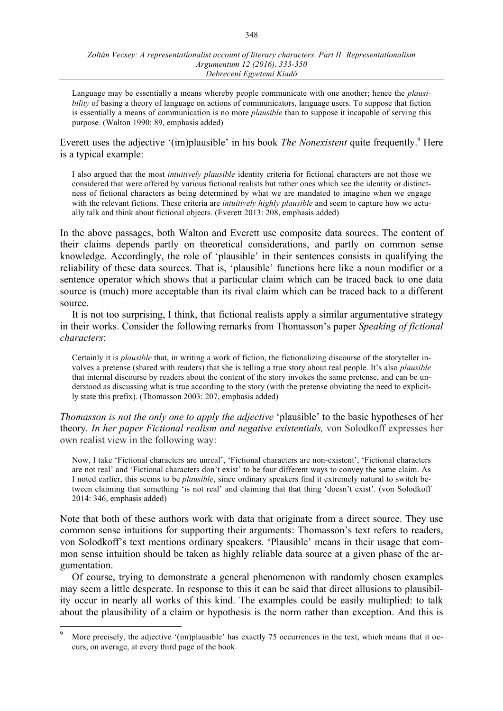Language may be essentially a means whereby people communicate with one another; hence the *plausibility* of basing a theory of language on actions of communicators, language users. To suppose that fiction is essentially a means of communication is no more *plausible* than to suppose it incapable of serving this purpose. (Walton 1990: 89, emphasis added)

Everett uses the adjective '(im)plausible' in his book *The Nonexistent* quite frequently.<sup>9</sup> Here is a typical example:

I also argued that the most *intuitively plausible* identity criteria for fictional characters are not those we considered that were offered by various fictional realists but rather ones which see the identity or distinctness of fictional characters as being determined by what we are mandated to imagine when we engage with the relevant fictions. These criteria are *intuitively highly plausible* and seem to capture how we actually talk and think about fictional objects. (Everett 2013: 208, emphasis added)

In the above passages, both Walton and Everett use composite data sources. The content of their claims depends partly on theoretical considerations, and partly on common sense knowledge. Accordingly, the role of ʻplausible' in their sentences consists in qualifying the reliability of these data sources. That is, ʻplausible' functions here like a noun modifier or a sentence operator which shows that a particular claim which can be traced back to one data source is (much) more acceptable than its rival claim which can be traced back to a different source.

It is not too surprising, I think, that fictional realists apply a similar argumentative strategy in their works. Consider the following remarks from Thomasson's paper *Speaking of fictional characters*:

Certainly it is *plausible* that, in writing a work of fiction, the fictionalizing discourse of the storyteller involves a pretense (shared with readers) that she is telling a true story about real people. It's also *plausible* that internal discourse by readers about the content of the story invokes the same pretense, and can be understood as discussing what is true according to the story (with the pretense obviating the need to explicitly state this prefix). (Thomasson 2003: 207, emphasis added)

*Thomasson is not the only one to apply the adjective* ʻplausible' to the basic hypotheses of her theory*. In her paper Fictional realism and negative existentials,* von Solodkoff expresses her own realist view in the following way:

Now, I take ʻFictional characters are unreal', ʻFictional characters are non-existent', ʻFictional characters are not real' and ʻFictional characters don't exist' to be four different ways to convey the same claim. As I noted earlier, this seems to be *plausible*, since ordinary speakers find it extremely natural to switch between claiming that something ʻis not real' and claiming that that thing ʻdoesn't exist'. (von Solodkoff 2014: 346, emphasis added)

Note that both of these authors work with data that originate from a direct source. They use common sense intuitions for supporting their arguments: Thomasson's text refers to readers, von Solodkoff's text mentions ordinary speakers. ʻPlausible' means in their usage that common sense intuition should be taken as highly reliable data source at a given phase of the argumentation.

Of course, trying to demonstrate a general phenomenon with randomly chosen examples may seem a little desperate. In response to this it can be said that direct allusions to plausibility occur in nearly all works of this kind. The examples could be easily multiplied: to talk about the plausibility of a claim or hypothesis is the norm rather than exception. And this is

More precisely, the adjective '(im)plausible' has exactly 75 occurrences in the text, which means that it occurs, on average, at every third page of the book.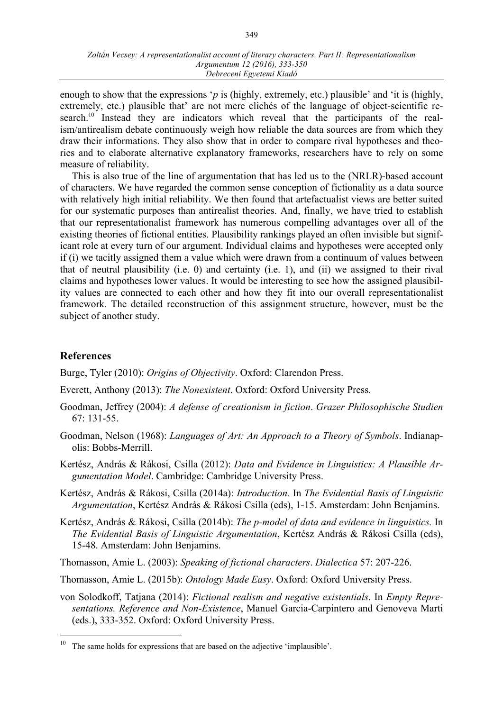enough to show that the expressions '*p* is (highly, extremely, etc.) plausible' and 'it is (highly, extremely, etc.) plausible that' are not mere clichés of the language of object-scientific research.<sup>10</sup> Instead they are indicators which reveal that the participants of the realism/antirealism debate continuously weigh how reliable the data sources are from which they draw their informations. They also show that in order to compare rival hypotheses and theories and to elaborate alternative explanatory frameworks, researchers have to rely on some measure of reliability.

This is also true of the line of argumentation that has led us to the (NRLR)-based account of characters. We have regarded the common sense conception of fictionality as a data source with relatively high initial reliability. We then found that artefactualist views are better suited for our systematic purposes than antirealist theories. And, finally, we have tried to establish that our representationalist framework has numerous compelling advantages over all of the existing theories of fictional entities. Plausibility rankings played an often invisible but significant role at every turn of our argument. Individual claims and hypotheses were accepted only if (i) we tacitly assigned them a value which were drawn from a continuum of values between that of neutral plausibility (i.e. 0) and certainty (i.e. 1), and (ii) we assigned to their rival claims and hypotheses lower values. It would be interesting to see how the assigned plausibility values are connected to each other and how they fit into our overall representationalist framework. The detailed reconstruction of this assignment structure, however, must be the subject of another study.

## **References**

Burge, Tyler (2010): *Origins of Objectivity*. Oxford: Clarendon Press.

- Everett, Anthony (2013): *The Nonexistent*. Oxford: Oxford University Press.
- Goodman, Jeffrey (2004): *A defense of creationism in fiction*. *Grazer Philosophische Studien* 67: 131-55.
- Goodman, Nelson (1968): *Languages of Art: An Approach to a Theory of Symbols*. Indianapolis: Bobbs-Merrill.
- Kertész, András & Rákosi, Csilla (2012): *Data and Evidence in Linguistics: A Plausible Argumentation Model*. Cambridge: Cambridge University Press.
- Kertész, András & Rákosi, Csilla (2014a): *Introduction.* In *The Evidential Basis of Linguistic Argumentation*, Kertész András & Rákosi Csilla (eds), 1-15. Amsterdam: John Benjamins.
- Kertész, András & Rákosi, Csilla (2014b): *The p-model of data and evidence in linguistics.* In *The Evidential Basis of Linguistic Argumentation*, Kertész András & Rákosi Csilla (eds), 15-48. Amsterdam: John Benjamins.

Thomasson, Amie L. (2003): *Speaking of fictional characters*. *Dialectica* 57: 207-226.

Thomasson, Amie L. (2015b): *Ontology Made Easy*. Oxford: Oxford University Press.

von Solodkoff, Tatjana (2014): *Fictional realism and negative existentials*. In *Empty Representations. Reference and Non-Existence*, Manuel Garcia-Carpintero and Genoveva Marti (eds.), 333-352. Oxford: Oxford University Press.

<sup>&</sup>lt;sup>10</sup> The same holds for expressions that are based on the adjective 'implausible'.